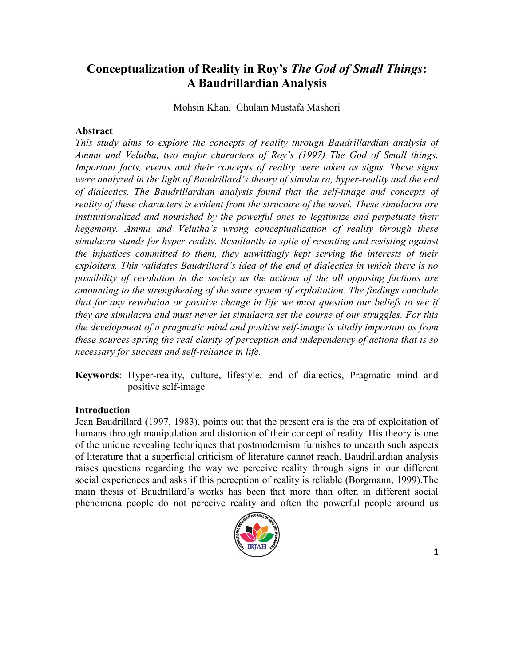# **Conceptualization of Reality in Roy's** *The God of Small Things***: A Baudrillardian Analysis**

Mohsin Khan, Ghulam Mustafa Mashori

### **Abstract**

*This study aims to explore the concepts of reality through Baudrillardian analysis of Ammu and Velutha, two major characters of Roy's (1997) The God of Small things. Important facts, events and their concepts of reality were taken as signs. These signs were analyzed in the light of Baudrillard's theory of simulacra, hyper-reality and the end of dialectics. The Baudrillardian analysis found that the self-image and concepts of reality of these characters is evident from the structure of the novel. These simulacra are institutionalized and nourished by the powerful ones to legitimize and perpetuate their hegemony. Ammu and Velutha's wrong conceptualization of reality through these simulacra stands for hyper-reality. Resultantly in spite of resenting and resisting against the injustices committed to them, they unwittingly kept serving the interests of their exploiters. This validates Baudrillard's idea of the end of dialectics in which there is no possibility of revolution in the society as the actions of the all opposing factions are amounting to the strengthening of the same system of exploitation. The findings conclude that for any revolution or positive change in life we must question our beliefs to see if they are simulacra and must never let simulacra set the course of our struggles. For this the development of a pragmatic mind and positive self-image is vitally important as from these sources spring the real clarity of perception and independency of actions that is so necessary for success and self-reliance in life.*

**Keywords**: Hyper-reality, culture, lifestyle, end of dialectics, Pragmatic mind and positive self-image

#### **Introduction**

Jean Baudrillard (1997, 1983), points out that the present era is the era of exploitation of humans through manipulation and distortion of their concept of reality. His theory is one of the unique revealing techniques that postmodernism furnishes to unearth such aspects of literature that a superficial criticism of literature cannot reach. Baudrillardian analysis raises questions regarding the way we perceive reality through signs in our different social experiences and asks if this perception of reality is reliable (Borgmann, 1999).The main thesis of Baudrillard's works has been that more than often in different social phenomena people do not perceive reality and often the powerful people around us

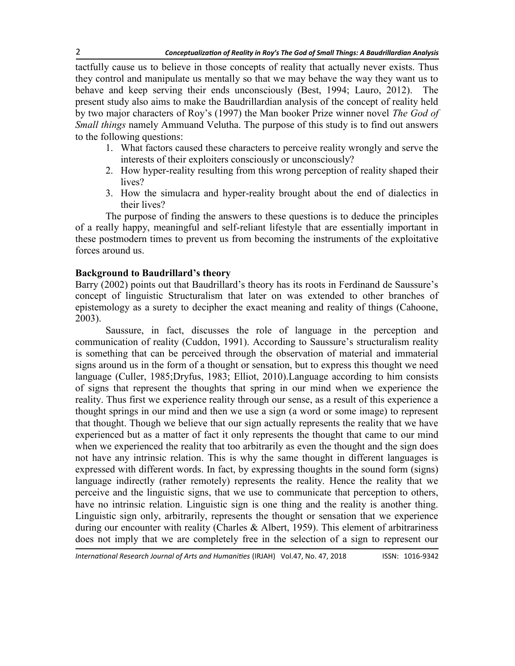tactfully cause us to believe in those concepts of reality that actually never exists. Thus they control and manipulate us mentally so that we may behave the way they want us to behave and keep serving their ends unconsciously (Best, 1994; Lauro, 2012). The present study also aims to make the Baudrillardian analysis of the concept of reality held by two major characters of Roy's (1997) the Man booker Prize winner novel *The God of Small things* namely Ammuand Velutha. The purpose of this study is to find out answers to the following questions:

- 1. What factors caused these characters to perceive reality wrongly and serve the interests of their exploiters consciously or unconsciously?
- 2. How hyper-reality resulting from this wrong perception of reality shaped their lives?
- 3. How the simulacra and hyper-reality brought about the end of dialectics in their lives?

The purpose of finding the answers to these questions is to deduce the principles of a really happy, meaningful and self-reliant lifestyle that are essentially important in these postmodern times to prevent us from becoming the instruments of the exploitative forces around us.

## **Background to Baudrillard's theory**

Barry (2002) points out that Baudrillard's theory has its roots in Ferdinand de Saussure's concept of linguistic Structuralism that later on was extended to other branches of epistemology as a surety to decipher the exact meaning and reality of things (Cahoone, 2003).

Saussure, in fact, discusses the role of language in the perception and communication of reality (Cuddon, 1991). According to Saussure's structuralism reality is something that can be perceived through the observation of material and immaterial signs around us in the form of a thought or sensation, but to express this thought we need language (Culler, 1985;Dryfus, 1983; Elliot, 2010).Language according to him consists of signs that represent the thoughts that spring in our mind when we experience the reality. Thus first we experience reality through our sense, as a result of this experience a thought springs in our mind and then we use a sign (a word or some image) to represent that thought. Though we believe that our sign actually represents the reality that we have experienced but as a matter of fact it only represents the thought that came to our mind when we experienced the reality that too arbitrarily as even the thought and the sign does not have any intrinsic relation. This is why the same thought in different languages is expressed with different words. In fact, by expressing thoughts in the sound form (signs) language indirectly (rather remotely) represents the reality. Hence the reality that we perceive and the linguistic signs, that we use to communicate that perception to others, have no intrinsic relation. Linguistic sign is one thing and the reality is another thing. Linguistic sign only, arbitrarily, represents the thought or sensation that we experience during our encounter with reality (Charles & Albert, 1959). This element of arbitrariness does not imply that we are completely free in the selection of a sign to represent our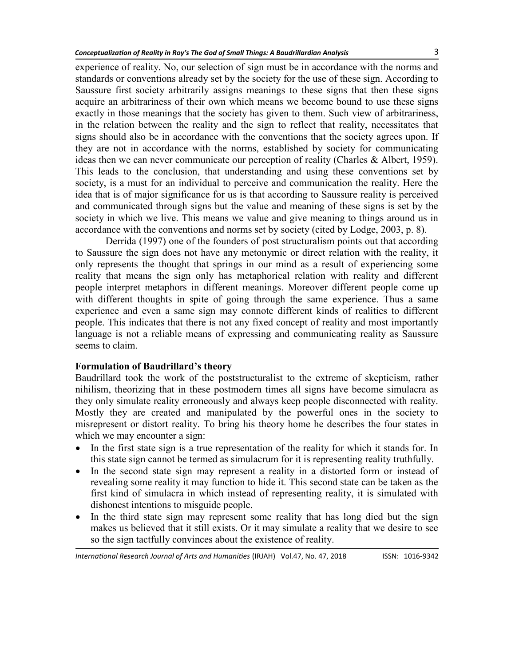experience of reality. No, our selection of sign must be in accordance with the norms and standards or conventions already set by the society for the use of these sign. According to Saussure first society arbitrarily assigns meanings to these signs that then these signs acquire an arbitrariness of their own which means we become bound to use these signs exactly in those meanings that the society has given to them. Such view of arbitrariness, in the relation between the reality and the sign to reflect that reality, necessitates that signs should also be in accordance with the conventions that the society agrees upon. If they are not in accordance with the norms, established by society for communicating ideas then we can never communicate our perception of reality (Charles & Albert, 1959). This leads to the conclusion, that understanding and using these conventions set by society, is a must for an individual to perceive and communication the reality. Here the idea that is of major significance for us is that according to Saussure reality is perceived and communicated through signs but the value and meaning of these signs is set by the society in which we live. This means we value and give meaning to things around us in accordance with the conventions and norms set by society (cited by Lodge, 2003, p. 8).

Derrida (1997) one of the founders of post structuralism points out that according to Saussure the sign does not have any metonymic or direct relation with the reality, it only represents the thought that springs in our mind as a result of experiencing some reality that means the sign only has metaphorical relation with reality and different people interpret metaphors in different meanings. Moreover different people come up with different thoughts in spite of going through the same experience. Thus a same experience and even a same sign may connote different kinds of realities to different people. This indicates that there is not any fixed concept of reality and most importantly language is not a reliable means of expressing and communicating reality as Saussure seems to claim.

#### **Formulation of Baudrillard's theory**

Baudrillard took the work of the poststructuralist to the extreme of skepticism, rather nihilism, theorizing that in these postmodern times all signs have become simulacra as they only simulate reality erroneously and always keep people disconnected with reality. Mostly they are created and manipulated by the powerful ones in the society to misrepresent or distort reality. To bring his theory home he describes the four states in which we may encounter a sign:

- In the first state sign is a true representation of the reality for which it stands for. In this state sign cannot be termed as simulacrum for it is representing reality truthfully.
- In the second state sign may represent a reality in a distorted form or instead of revealing some reality it may function to hide it. This second state can be taken as the first kind of simulacra in which instead of representing reality, it is simulated with dishonest intentions to misguide people.
- In the third state sign may represent some reality that has long died but the sign makes us believed that it still exists. Or it may simulate a reality that we desire to see so the sign tactfully convinces about the existence of reality.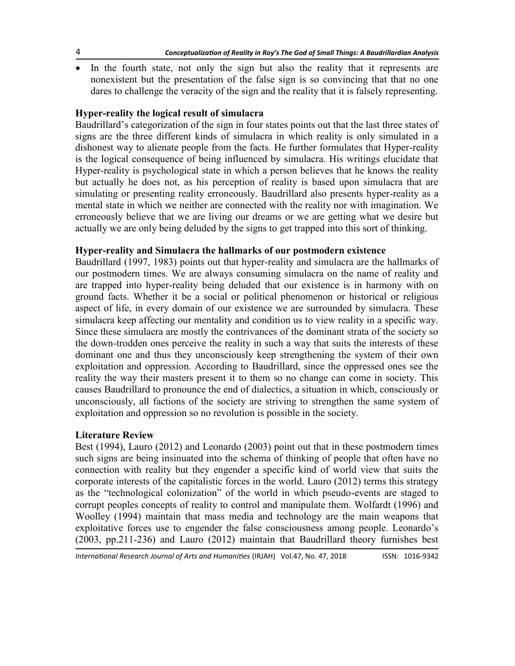In the fourth state, not only the sign but also the reality that it represents are nonexistent but the presentation of the false sign is so convincing that that no one dares to challenge the veracity of the sign and the reality that it is falsely representing.

## **Hyper-reality the logical result of simulacra**

Baudrillard's categorization of the sign in four states points out that the last three states of signs are the three different kinds of simulacra in which reality is only simulated in a dishonest way to alienate people from the facts. He further formulates that Hyper-reality is the logical consequence of being influenced by simulacra. His writings elucidate that Hyper-reality is psychological state in which a person believes that he knows the reality but actually he does not, as his perception of reality is based upon simulacra that are simulating or presenting reality erroneously. Baudrillard also presents hyper-reality as a mental state in which we neither are connected with the reality nor with imagination. We erroneously believe that we are living our dreams or we are getting what we desire but actually we are only being deluded by the signs to get trapped into this sort of thinking.

### **Hyper-reality and Simulacra the hallmarks of our postmodern existence**

Baudrillard (1997, 1983) points out that hyper-reality and simulacra are the hallmarks of our postmodern times. We are always consuming simulacra on the name of reality and are trapped into hyper-reality being deluded that our existence is in harmony with on ground facts. Whether it be a social or political phenomenon or historical or religious aspect of life, in every domain of our existence we are surrounded by simulacra. These simulacra keep affecting our mentality and condition us to view reality in a specific way. Since these simulacra are mostly the contrivances of the dominant strata of the society so the down-trodden ones perceive the reality in such a way that suits the interests of these dominant one and thus they unconsciously keep strengthening the system of their own exploitation and oppression. According to Baudrillard, since the oppressed ones see the reality the way their masters present it to them so no change can come in society. This causes Baudrillard to pronounce the end of dialectics, a situation in which, consciously or unconsciously, all factions of the society are striving to strengthen the same system of exploitation and oppression so no revolution is possible in the society.

### **Literature Review**

Best (1994), Lauro (2012) and Leonardo (2003) point out that in these postmodern times such signs are being insinuated into the schema of thinking of people that often have no connection with reality but they engender a specific kind of world view that suits the corporate interests of the capitalistic forces in the world. Lauro (2012) terms this strategy as the "technological colonization" of the world in which pseudo-events are staged to corrupt peoples concepts of reality to control and manipulate them. Wolfardt (1996) and Woolley (1994) maintain that mass media and technology are the main weapons that exploitative forces use to engender the false consciousness among people. Leonardo's (2003, pp.211-236) and Lauro (2012) maintain that Baudrillard theory furnishes best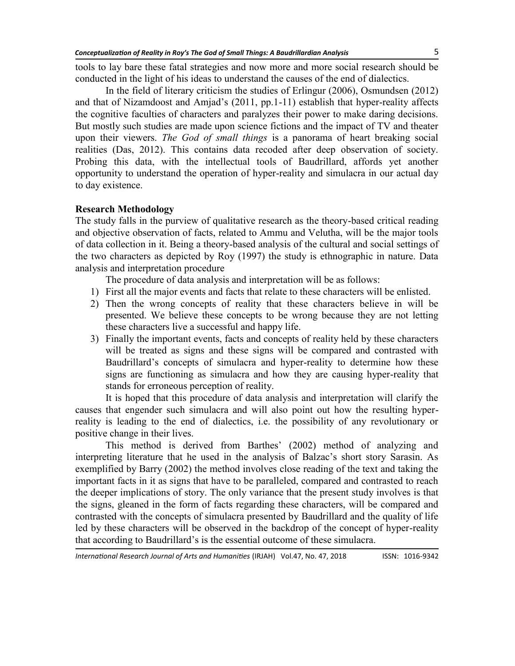tools to lay bare these fatal strategies and now more and more social research should be conducted in the light of his ideas to understand the causes of the end of dialectics.

In the field of literary criticism the studies of Erlingur (2006), Osmundsen (2012) and that of Nizamdoost and Amjad's (2011, pp.1-11) establish that hyper-reality affects the cognitive faculties of characters and paralyzes their power to make daring decisions. But mostly such studies are made upon science fictions and the impact of TV and theater upon their viewers. *The God of small things* is a panorama of heart breaking social realities (Das, 2012). This contains data recoded after deep observation of society. Probing this data, with the intellectual tools of Baudrillard, affords yet another opportunity to understand the operation of hyper-reality and simulacra in our actual day to day existence.

### **Research Methodology**

The study falls in the purview of qualitative research as the theory-based critical reading and objective observation of facts, related to Ammu and Velutha, will be the major tools of data collection in it. Being a theory-based analysis of the cultural and social settings of the two characters as depicted by Roy (1997) the study is ethnographic in nature. Data analysis and interpretation procedure

The procedure of data analysis and interpretation will be as follows:

- 1) First all the major events and facts that relate to these characters will be enlisted.
- 2) Then the wrong concepts of reality that these characters believe in will be presented. We believe these concepts to be wrong because they are not letting these characters live a successful and happy life.
- 3) Finally the important events, facts and concepts of reality held by these characters will be treated as signs and these signs will be compared and contrasted with Baudrillard's concepts of simulacra and hyper-reality to determine how these signs are functioning as simulacra and how they are causing hyper-reality that stands for erroneous perception of reality.

It is hoped that this procedure of data analysis and interpretation will clarify the causes that engender such simulacra and will also point out how the resulting hyperreality is leading to the end of dialectics, i.e. the possibility of any revolutionary or positive change in their lives.

This method is derived from Barthes' (2002) method of analyzing and interpreting literature that he used in the analysis of Balzac's short story Sarasin. As exemplified by Barry (2002) the method involves close reading of the text and taking the important facts in it as signs that have to be paralleled, compared and contrasted to reach the deeper implications of story. The only variance that the present study involves is that the signs, gleaned in the form of facts regarding these characters, will be compared and contrasted with the concepts of simulacra presented by Baudrillard and the quality of life led by these characters will be observed in the backdrop of the concept of hyper-reality that according to Baudrillard's is the essential outcome of these simulacra.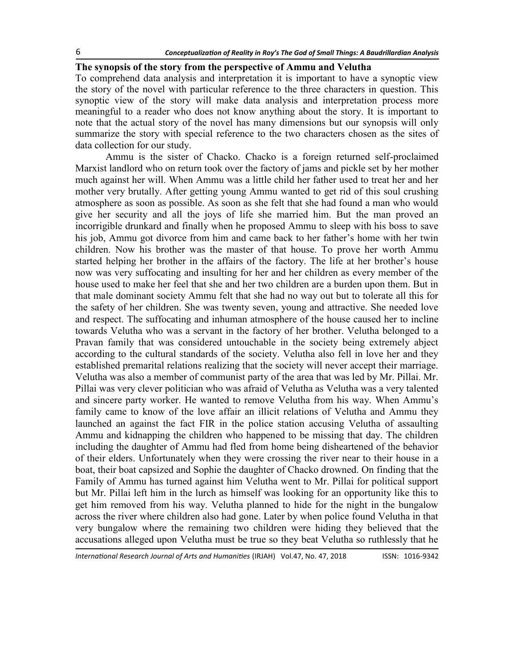#### **The synopsis of the story from the perspective of Ammu and Velutha**

To comprehend data analysis and interpretation it is important to have a synoptic view the story of the novel with particular reference to the three characters in question. This synoptic view of the story will make data analysis and interpretation process more meaningful to a reader who does not know anything about the story. It is important to note that the actual story of the novel has many dimensions but our synopsis will only summarize the story with special reference to the two characters chosen as the sites of data collection for our study.

Ammu is the sister of Chacko. Chacko is a foreign returned self-proclaimed Marxist landlord who on return took over the factory of jams and pickle set by her mother much against her will. When Ammu was a little child her father used to treat her and her mother very brutally. After getting young Ammu wanted to get rid of this soul crushing atmosphere as soon as possible. As soon as she felt that she had found a man who would give her security and all the joys of life she married him. But the man proved an incorrigible drunkard and finally when he proposed Ammu to sleep with his boss to save his job, Ammu got divorce from him and came back to her father's home with her twin children. Now his brother was the master of that house. To prove her worth Ammu started helping her brother in the affairs of the factory. The life at her brother's house now was very suffocating and insulting for her and her children as every member of the house used to make her feel that she and her two children are a burden upon them. But in that male dominant society Ammu felt that she had no way out but to tolerate all this for the safety of her children. She was twenty seven, young and attractive. She needed love and respect. The suffocating and inhuman atmosphere of the house caused her to incline towards Velutha who was a servant in the factory of her brother. Velutha belonged to a Pravan family that was considered untouchable in the society being extremely abject according to the cultural standards of the society. Velutha also fell in love her and they established premarital relations realizing that the society will never accept their marriage. Velutha was also a member of communist party of the area that was led by Mr. Pillai. Mr. Pillai was very clever politician who was afraid of Velutha as Velutha was a very talented and sincere party worker. He wanted to remove Velutha from his way. When Ammu's family came to know of the love affair an illicit relations of Velutha and Ammu they launched an against the fact FIR in the police station accusing Velutha of assaulting Ammu and kidnapping the children who happened to be missing that day. The children including the daughter of Ammu had fled from home being disheartened of the behavior of their elders. Unfortunately when they were crossing the river near to their house in a boat, their boat capsized and Sophie the daughter of Chacko drowned. On finding that the Family of Ammu has turned against him Velutha went to Mr. Pillai for political support but Mr. Pillai left him in the lurch as himself was looking for an opportunity like this to get him removed from his way. Velutha planned to hide for the night in the bungalow across the river where children also had gone. Later by when police found Velutha in that very bungalow where the remaining two children were hiding they believed that the accusations alleged upon Velutha must be true so they beat Velutha so ruthlessly that he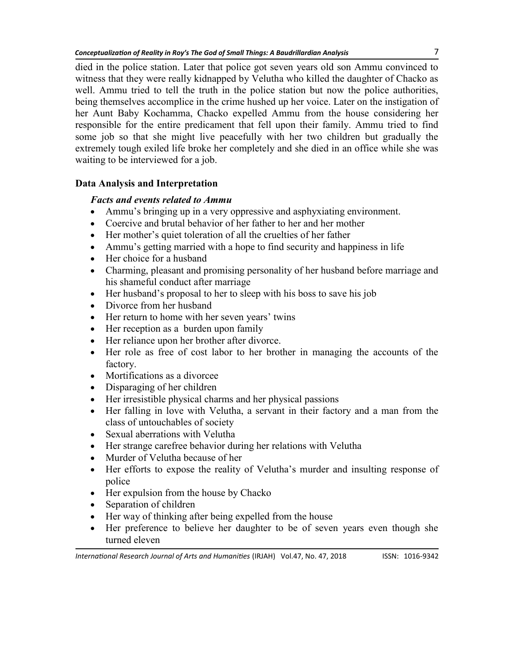died in the police station. Later that police got seven years old son Ammu convinced to witness that they were really kidnapped by Velutha who killed the daughter of Chacko as well. Ammu tried to tell the truth in the police station but now the police authorities, being themselves accomplice in the crime hushed up her voice. Later on the instigation of her Aunt Baby Kochamma, Chacko expelled Ammu from the house considering her responsible for the entire predicament that fell upon their family. Ammu tried to find some job so that she might live peacefully with her two children but gradually the extremely tough exiled life broke her completely and she died in an office while she was waiting to be interviewed for a job.

## **Data Analysis and Interpretation**

## *Facts and events related to Ammu*

- Ammu's bringing up in a very oppressive and asphyxiating environment.
- Coercive and brutal behavior of her father to her and her mother
- Her mother's quiet toleration of all the cruelties of her father
- Ammu's getting married with a hope to find security and happiness in life
- Her choice for a husband
- Charming, pleasant and promising personality of her husband before marriage and his shameful conduct after marriage
- Her husband's proposal to her to sleep with his boss to save his job
- Divorce from her husband
- Her return to home with her seven years' twins
- Her reception as a burden upon family
- Her reliance upon her brother after divorce.
- Her role as free of cost labor to her brother in managing the accounts of the factory.
- Mortifications as a divorcee
- Disparaging of her children
- Her irresistible physical charms and her physical passions
- Her falling in love with Velutha, a servant in their factory and a man from the class of untouchables of society
- Sexual aberrations with Velutha
- Her strange carefree behavior during her relations with Velutha
- Murder of Velutha because of her
- Her efforts to expose the reality of Velutha's murder and insulting response of police
- Her expulsion from the house by Chacko
- Separation of children
- Her way of thinking after being expelled from the house
- Her preference to believe her daughter to be of seven years even though she turned eleven

*International Research Journal of Arts and Humanities* (IRJAH) Vol.47, No. 47, 2018 **ISSN: 1016-9342**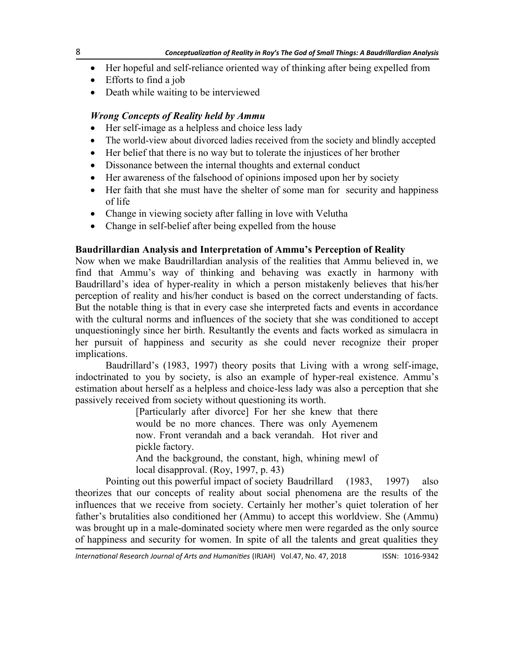- Her hopeful and self-reliance oriented way of thinking after being expelled from
- Efforts to find a job
- Death while waiting to be interviewed

## *Wrong Concepts of Reality held by Ammu*

- Her self-image as a helpless and choice less lady
- The world-view about divorced ladies received from the society and blindly accepted
- Her belief that there is no way but to tolerate the injustices of her brother
- Dissonance between the internal thoughts and external conduct
- Her awareness of the falsehood of opinions imposed upon her by society
- Her faith that she must have the shelter of some man for security and happiness of life
- Change in viewing society after falling in love with Velutha
- Change in self-belief after being expelled from the house

### **Baudrillardian Analysis and Interpretation of Ammu's Perception of Reality**

Now when we make Baudrillardian analysis of the realities that Ammu believed in, we find that Ammu's way of thinking and behaving was exactly in harmony with Baudrillard's idea of hyper-reality in which a person mistakenly believes that his/her perception of reality and his/her conduct is based on the correct understanding of facts. But the notable thing is that in every case she interpreted facts and events in accordance with the cultural norms and influences of the society that she was conditioned to accept unquestioningly since her birth. Resultantly the events and facts worked as simulacra in her pursuit of happiness and security as she could never recognize their proper implications.

Baudrillard's (1983, 1997) theory posits that Living with a wrong self-image, indoctrinated to you by society, is also an example of hyper-real existence. Ammu's estimation about herself as a helpless and choice-less lady was also a perception that she passively received from society without questioning its worth.

> [Particularly after divorce] For her she knew that there would be no more chances. There was only Ayemenem now. Front verandah and a back verandah. Hot river and pickle factory.

> And the background, the constant, high, whining mewl of local disapproval. (Roy, 1997, p. 43)

Pointing out this powerful impact of society Baudrillard (1983, 1997) also theorizes that our concepts of reality about social phenomena are the results of the influences that we receive from society. Certainly her mother's quiet toleration of her father's brutalities also conditioned her (Ammu) to accept this worldview. She (Ammu) was brought up in a male-dominated society where men were regarded as the only source of happiness and security for women. In spite of all the talents and great qualities they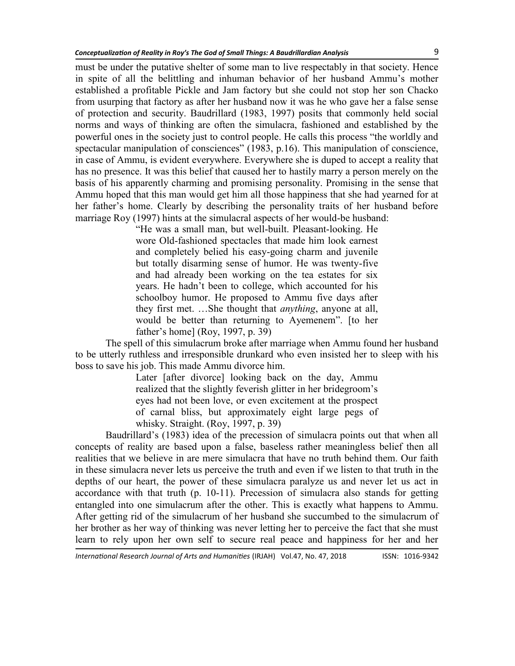must be under the putative shelter of some man to live respectably in that society. Hence in spite of all the belittling and inhuman behavior of her husband Ammu's mother established a profitable Pickle and Jam factory but she could not stop her son Chacko from usurping that factory as after her husband now it was he who gave her a false sense of protection and security. Baudrillard (1983, 1997) posits that commonly held social norms and ways of thinking are often the simulacra, fashioned and established by the powerful ones in the society just to control people. He calls this process "the worldly and spectacular manipulation of consciences" (1983, p.16). This manipulation of conscience, in case of Ammu, is evident everywhere. Everywhere she is duped to accept a reality that has no presence. It was this belief that caused her to hastily marry a person merely on the basis of his apparently charming and promising personality. Promising in the sense that Ammu hoped that this man would get him all those happiness that she had yearned for at her father's home. Clearly by describing the personality traits of her husband before marriage Roy (1997) hints at the simulacral aspects of her would-be husband:

> "He was a small man, but well-built. Pleasant-looking. He wore Old-fashioned spectacles that made him look earnest and completely belied his easy-going charm and juvenile but totally disarming sense of humor. He was twenty-five and had already been working on the tea estates for six years. He hadn't been to college, which accounted for his schoolboy humor. He proposed to Ammu five days after they first met. …She thought that *anything*, anyone at all, would be better than returning to Ayemenem<sup>"</sup>. [to her father's home] (Roy, 1997, p. 39)

The spell of this simulacrum broke after marriage when Ammu found her husband to be utterly ruthless and irresponsible drunkard who even insisted her to sleep with his boss to save his job. This made Ammu divorce him.

> Later [after divorce] looking back on the day, Ammu realized that the slightly feverish glitter in her bridegroom's eyes had not been love, or even excitement at the prospect of carnal bliss, but approximately eight large pegs of whisky. Straight. (Roy, 1997, p. 39)

Baudrillard's (1983) idea of the precession of simulacra points out that when all concepts of reality are based upon a false, baseless rather meaningless belief then all realities that we believe in are mere simulacra that have no truth behind them. Our faith in these simulacra never lets us perceive the truth and even if we listen to that truth in the depths of our heart, the power of these simulacra paralyze us and never let us act in accordance with that truth (p. 10-11). Precession of simulacra also stands for getting entangled into one simulacrum after the other. This is exactly what happens to Ammu. After getting rid of the simulacrum of her husband she succumbed to the simulacrum of her brother as her way of thinking was never letting her to perceive the fact that she must learn to rely upon her own self to secure real peace and happiness for her and her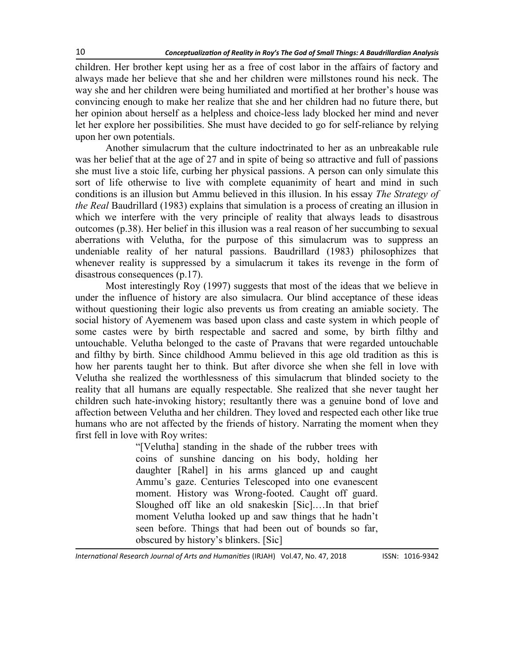children. Her brother kept using her as a free of cost labor in the affairs of factory and always made her believe that she and her children were millstones round his neck. The way she and her children were being humiliated and mortified at her brother's house was convincing enough to make her realize that she and her children had no future there, but her opinion about herself as a helpless and choice-less lady blocked her mind and never let her explore her possibilities. She must have decided to go for self-reliance by relying upon her own potentials.

Another simulacrum that the culture indoctrinated to her as an unbreakable rule was her belief that at the age of 27 and in spite of being so attractive and full of passions she must live a stoic life, curbing her physical passions. A person can only simulate this sort of life otherwise to live with complete equanimity of heart and mind in such conditions is an illusion but Ammu believed in this illusion. In his essay *The Strategy of the Real* Baudrillard (1983) explains that simulation is a process of creating an illusion in which we interfere with the very principle of reality that always leads to disastrous outcomes (p.38). Her belief in this illusion was a real reason of her succumbing to sexual aberrations with Velutha, for the purpose of this simulacrum was to suppress an undeniable reality of her natural passions. Baudrillard (1983) philosophizes that whenever reality is suppressed by a simulacrum it takes its revenge in the form of disastrous consequences (p.17).

Most interestingly Roy (1997) suggests that most of the ideas that we believe in under the influence of history are also simulacra. Our blind acceptance of these ideas without questioning their logic also prevents us from creating an amiable society. The social history of Ayemenem was based upon class and caste system in which people of some castes were by birth respectable and sacred and some, by birth filthy and untouchable. Velutha belonged to the caste of Pravans that were regarded untouchable and filthy by birth. Since childhood Ammu believed in this age old tradition as this is how her parents taught her to think. But after divorce she when she fell in love with Velutha she realized the worthlessness of this simulacrum that blinded society to the reality that all humans are equally respectable. She realized that she never taught her children such hate-invoking history; resultantly there was a genuine bond of love and affection between Velutha and her children. They loved and respected each other like true humans who are not affected by the friends of history. Narrating the moment when they first fell in love with Roy writes:

> ―[Velutha] standing in the shade of the rubber trees with coins of sunshine dancing on his body, holding her daughter [Rahel] in his arms glanced up and caught Ammu's gaze. Centuries Telescoped into one evanescent moment. History was Wrong-footed. Caught off guard. Sloughed off like an old snakeskin [Sic].…In that brief moment Velutha looked up and saw things that he hadn't seen before. Things that had been out of bounds so far, obscured by history's blinkers. [Sic]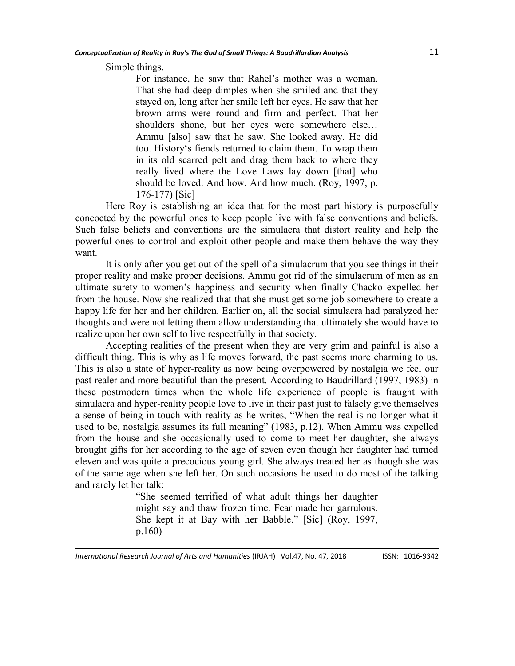Simple things.

For instance, he saw that Rahel's mother was a woman. That she had deep dimples when she smiled and that they stayed on, long after her smile left her eyes. He saw that her brown arms were round and firm and perfect. That her shoulders shone, but her eyes were somewhere else… Ammu [also] saw that he saw. She looked away. He did too. History‗s fiends returned to claim them. To wrap them in its old scarred pelt and drag them back to where they really lived where the Love Laws lay down [that] who should be loved. And how. And how much. (Roy, 1997, p. 176-177) [Sic]

Here Roy is establishing an idea that for the most part history is purposefully concocted by the powerful ones to keep people live with false conventions and beliefs. Such false beliefs and conventions are the simulacra that distort reality and help the powerful ones to control and exploit other people and make them behave the way they want.

It is only after you get out of the spell of a simulacrum that you see things in their proper reality and make proper decisions. Ammu got rid of the simulacrum of men as an ultimate surety to women's happiness and security when finally Chacko expelled her from the house. Now she realized that that she must get some job somewhere to create a happy life for her and her children. Earlier on, all the social simulacra had paralyzed her thoughts and were not letting them allow understanding that ultimately she would have to realize upon her own self to live respectfully in that society.

Accepting realities of the present when they are very grim and painful is also a difficult thing. This is why as life moves forward, the past seems more charming to us. This is also a state of hyper-reality as now being overpowered by nostalgia we feel our past realer and more beautiful than the present. According to Baudrillard (1997, 1983) in these postmodern times when the whole life experience of people is fraught with simulacra and hyper-reality people love to live in their past just to falsely give themselves a sense of being in touch with reality as he writes, "When the real is no longer what it used to be, nostalgia assumes its full meaning" (1983, p.12). When Ammu was expelled from the house and she occasionally used to come to meet her daughter, she always brought gifts for her according to the age of seven even though her daughter had turned eleven and was quite a precocious young girl. She always treated her as though she was of the same age when she left her. On such occasions he used to do most of the talking and rarely let her talk:

> ―She seemed terrified of what adult things her daughter might say and thaw frozen time. Fear made her garrulous. She kept it at Bay with her Babble." [Sic] (Roy, 1997, p.160)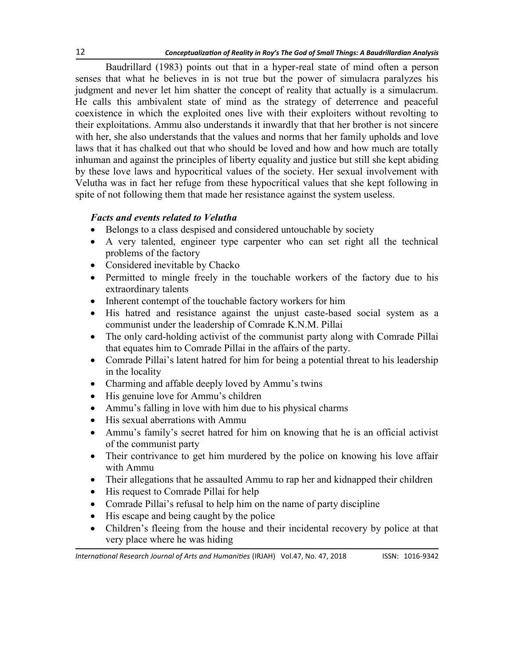Baudrillard (1983) points out that in a hyper-real state of mind often a person senses that what he believes in is not true but the power of simulacra paralyzes his judgment and never let him shatter the concept of reality that actually is a simulacrum. He calls this ambivalent state of mind as the strategy of deterrence and peaceful coexistence in which the exploited ones live with their exploiters without revolting to their exploitations. Ammu also understands it inwardly that that her brother is not sincere with her, she also understands that the values and norms that her family upholds and love laws that it has chalked out that who should be loved and how and how much are totally inhuman and against the principles of liberty equality and justice but still she kept abiding by these love laws and hypocritical values of the society. Her sexual involvement with Velutha was in fact her refuge from these hypocritical values that she kept following in spite of not following them that made her resistance against the system useless.

## *Facts and events related to Velutha*

- Belongs to a class despised and considered untouchable by society
- A very talented, engineer type carpenter who can set right all the technical problems of the factory
- Considered inevitable by Chacko
- Permitted to mingle freely in the touchable workers of the factory due to his extraordinary talents
- Inherent contempt of the touchable factory workers for him
- His hatred and resistance against the unjust caste-based social system as a communist under the leadership of Comrade K.N.M. Pillai
- The only card-holding activist of the communist party along with Comrade Pillai that equates him to Comrade Pillai in the affairs of the party.
- Comrade Pillai's latent hatred for him for being a potential threat to his leadership in the locality
- Charming and affable deeply loved by Ammu's twins
- His genuine love for Ammu's children
- Ammu's falling in love with him due to his physical charms
- His sexual aberrations with Ammu
- Ammu's family's secret hatred for him on knowing that he is an official activist of the communist party
- Their contrivance to get him murdered by the police on knowing his love affair with Ammu
- Their allegations that he assaulted Ammu to rap her and kidnapped their children
- His request to Comrade Pillai for help
- Comrade Pillai's refusal to help him on the name of party discipline
- His escape and being caught by the police
- Children's fleeing from the house and their incidental recovery by police at that very place where he was hiding

*International Research Journal of Arts and Humanities* (IRJAH) Vol.47, No. 47, 2018 **ISSN: 1016-9342**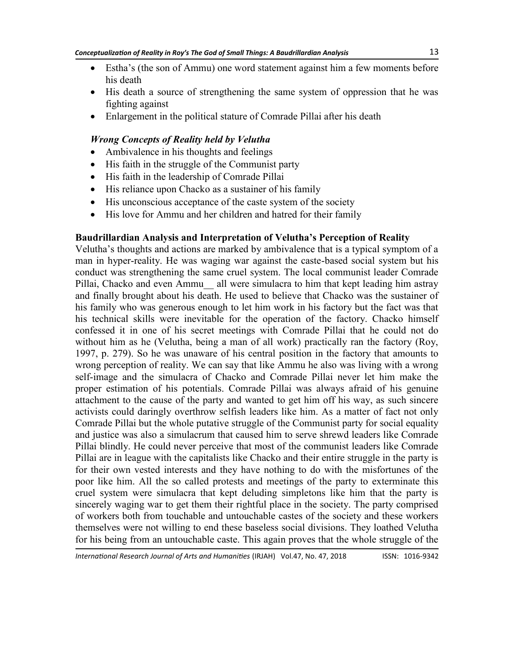- Estha's (the son of Ammu) one word statement against him a few moments before his death
- His death a source of strengthening the same system of oppression that he was fighting against
- Enlargement in the political stature of Comrade Pillai after his death

### *Wrong Concepts of Reality held by Velutha*

- Ambivalence in his thoughts and feelings
- His faith in the struggle of the Communist party
- His faith in the leadership of Comrade Pillai
- His reliance upon Chacko as a sustainer of his family
- His unconscious acceptance of the caste system of the society
- His love for Ammu and her children and hatred for their family

## **Baudrillardian Analysis and Interpretation of Velutha's Perception of Reality**

Velutha's thoughts and actions are marked by ambivalence that is a typical symptom of a man in hyper-reality. He was waging war against the caste-based social system but his conduct was strengthening the same cruel system. The local communist leader Comrade Pillai, Chacko and even Ammu all were simulacra to him that kept leading him astray and finally brought about his death. He used to believe that Chacko was the sustainer of his family who was generous enough to let him work in his factory but the fact was that his technical skills were inevitable for the operation of the factory. Chacko himself confessed it in one of his secret meetings with Comrade Pillai that he could not do without him as he (Velutha, being a man of all work) practically ran the factory (Roy, 1997, p. 279). So he was unaware of his central position in the factory that amounts to wrong perception of reality. We can say that like Ammu he also was living with a wrong self-image and the simulacra of Chacko and Comrade Pillai never let him make the proper estimation of his potentials. Comrade Pillai was always afraid of his genuine attachment to the cause of the party and wanted to get him off his way, as such sincere activists could daringly overthrow selfish leaders like him. As a matter of fact not only Comrade Pillai but the whole putative struggle of the Communist party for social equality and justice was also a simulacrum that caused him to serve shrewd leaders like Comrade Pillai blindly. He could never perceive that most of the communist leaders like Comrade Pillai are in league with the capitalists like Chacko and their entire struggle in the party is for their own vested interests and they have nothing to do with the misfortunes of the poor like him. All the so called protests and meetings of the party to exterminate this cruel system were simulacra that kept deluding simpletons like him that the party is sincerely waging war to get them their rightful place in the society. The party comprised of workers both from touchable and untouchable castes of the society and these workers themselves were not willing to end these baseless social divisions. They loathed Velutha for his being from an untouchable caste. This again proves that the whole struggle of the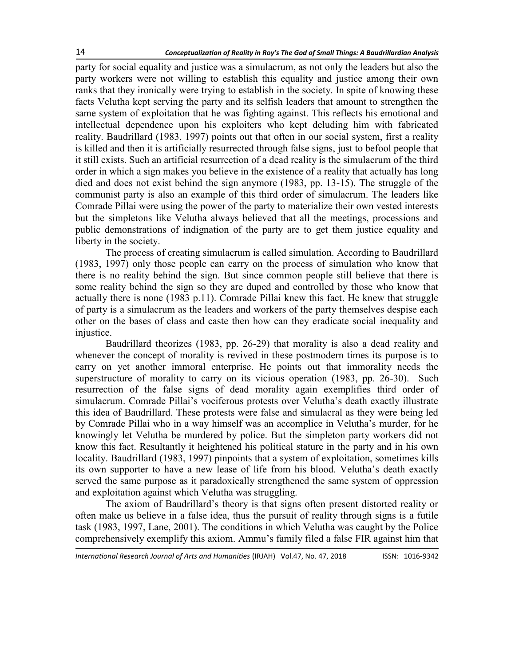party for social equality and justice was a simulacrum, as not only the leaders but also the party workers were not willing to establish this equality and justice among their own ranks that they ironically were trying to establish in the society. In spite of knowing these facts Velutha kept serving the party and its selfish leaders that amount to strengthen the same system of exploitation that he was fighting against. This reflects his emotional and intellectual dependence upon his exploiters who kept deluding him with fabricated reality. Baudrillard (1983, 1997) points out that often in our social system, first a reality is killed and then it is artificially resurrected through false signs, just to befool people that it still exists. Such an artificial resurrection of a dead reality is the simulacrum of the third order in which a sign makes you believe in the existence of a reality that actually has long died and does not exist behind the sign anymore (1983, pp. 13-15). The struggle of the communist party is also an example of this third order of simulacrum. The leaders like Comrade Pillai were using the power of the party to materialize their own vested interests but the simpletons like Velutha always believed that all the meetings, processions and public demonstrations of indignation of the party are to get them justice equality and liberty in the society.

The process of creating simulacrum is called simulation. According to Baudrillard (1983, 1997) only those people can carry on the process of simulation who know that there is no reality behind the sign. But since common people still believe that there is some reality behind the sign so they are duped and controlled by those who know that actually there is none (1983 p.11). Comrade Pillai knew this fact. He knew that struggle of party is a simulacrum as the leaders and workers of the party themselves despise each other on the bases of class and caste then how can they eradicate social inequality and injustice.

Baudrillard theorizes (1983, pp. 26-29) that morality is also a dead reality and whenever the concept of morality is revived in these postmodern times its purpose is to carry on yet another immoral enterprise. He points out that immorality needs the superstructure of morality to carry on its vicious operation (1983, pp. 26-30). Such resurrection of the false signs of dead morality again exemplifies third order of simulacrum. Comrade Pillai's vociferous protests over Velutha's death exactly illustrate this idea of Baudrillard. These protests were false and simulacral as they were being led by Comrade Pillai who in a way himself was an accomplice in Velutha's murder, for he knowingly let Velutha be murdered by police. But the simpleton party workers did not know this fact. Resultantly it heightened his political stature in the party and in his own locality. Baudrillard (1983, 1997) pinpoints that a system of exploitation, sometimes kills its own supporter to have a new lease of life from his blood. Velutha's death exactly served the same purpose as it paradoxically strengthened the same system of oppression and exploitation against which Velutha was struggling.

The axiom of Baudrillard's theory is that signs often present distorted reality or often make us believe in a false idea, thus the pursuit of reality through signs is a futile task (1983, 1997, Lane, 2001). The conditions in which Velutha was caught by the Police comprehensively exemplify this axiom. Ammu's family filed a false FIR against him that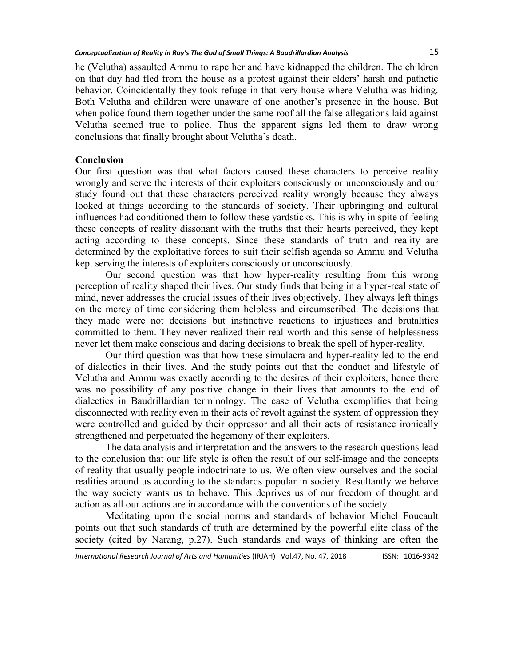he (Velutha) assaulted Ammu to rape her and have kidnapped the children. The children on that day had fled from the house as a protest against their elders' harsh and pathetic behavior. Coincidentally they took refuge in that very house where Velutha was hiding. Both Velutha and children were unaware of one another's presence in the house. But when police found them together under the same roof all the false allegations laid against Velutha seemed true to police. Thus the apparent signs led them to draw wrong conclusions that finally brought about Velutha's death.

### **Conclusion**

Our first question was that what factors caused these characters to perceive reality wrongly and serve the interests of their exploiters consciously or unconsciously and our study found out that these characters perceived reality wrongly because they always looked at things according to the standards of society. Their upbringing and cultural influences had conditioned them to follow these yardsticks. This is why in spite of feeling these concepts of reality dissonant with the truths that their hearts perceived, they kept acting according to these concepts. Since these standards of truth and reality are determined by the exploitative forces to suit their selfish agenda so Ammu and Velutha kept serving the interests of exploiters consciously or unconsciously.

Our second question was that how hyper-reality resulting from this wrong perception of reality shaped their lives. Our study finds that being in a hyper-real state of mind, never addresses the crucial issues of their lives objectively. They always left things on the mercy of time considering them helpless and circumscribed. The decisions that they made were not decisions but instinctive reactions to injustices and brutalities committed to them. They never realized their real worth and this sense of helplessness never let them make conscious and daring decisions to break the spell of hyper-reality.

Our third question was that how these simulacra and hyper-reality led to the end of dialectics in their lives. And the study points out that the conduct and lifestyle of Velutha and Ammu was exactly according to the desires of their exploiters, hence there was no possibility of any positive change in their lives that amounts to the end of dialectics in Baudrillardian terminology. The case of Velutha exemplifies that being disconnected with reality even in their acts of revolt against the system of oppression they were controlled and guided by their oppressor and all their acts of resistance ironically strengthened and perpetuated the hegemony of their exploiters.

The data analysis and interpretation and the answers to the research questions lead to the conclusion that our life style is often the result of our self-image and the concepts of reality that usually people indoctrinate to us. We often view ourselves and the social realities around us according to the standards popular in society. Resultantly we behave the way society wants us to behave. This deprives us of our freedom of thought and action as all our actions are in accordance with the conventions of the society.

Meditating upon the social norms and standards of behavior Michel Foucault points out that such standards of truth are determined by the powerful elite class of the society (cited by Narang, p.27). Such standards and ways of thinking are often the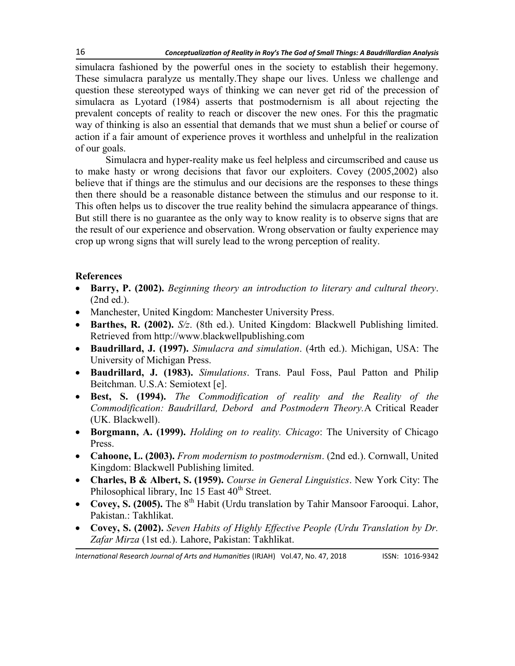simulacra fashioned by the powerful ones in the society to establish their hegemony. These simulacra paralyze us mentally.They shape our lives. Unless we challenge and question these stereotyped ways of thinking we can never get rid of the precession of simulacra as Lyotard (1984) asserts that postmodernism is all about rejecting the prevalent concepts of reality to reach or discover the new ones. For this the pragmatic way of thinking is also an essential that demands that we must shun a belief or course of action if a fair amount of experience proves it worthless and unhelpful in the realization of our goals.

Simulacra and hyper-reality make us feel helpless and circumscribed and cause us to make hasty or wrong decisions that favor our exploiters. Covey (2005,2002) also believe that if things are the stimulus and our decisions are the responses to these things then there should be a reasonable distance between the stimulus and our response to it. This often helps us to discover the true reality behind the simulacra appearance of things. But still there is no guarantee as the only way to know reality is to observe signs that are the result of our experience and observation. Wrong observation or faulty experience may crop up wrong signs that will surely lead to the wrong perception of reality.

## **References**

- **Barry, P. (2002).** *Beginning theory an introduction to literary and cultural theory*. (2nd ed.).
- Manchester, United Kingdom: Manchester University Press.
- **Barthes, R. (2002).** *S/z*. (8th ed.). United Kingdom: Blackwell Publishing limited. Retrieved from http://www.blackwellpublishing.com
- **Baudrillard, J. (1997).** *Simulacra and simulation*. (4rth ed.). Michigan, USA: The University of Michigan Press.
- **Baudrillard, J. (1983).** *Simulations*. Trans. Paul Foss, Paul Patton and Philip Beitchman. U.S.A: Semiotext [e].
- **Best, S. (1994).** *The Commodification of reality and the Reality of the Commodification: Baudrillard, Debord and Postmodern Theory.*A Critical Reader (UK. Blackwell).
- **Borgmann, A. (1999).** *Holding on to reality. Chicago*: The University of Chicago Press.
- **Cahoone, L. (2003).** *From modernism to postmodernism*. (2nd ed.). Cornwall, United Kingdom: Blackwell Publishing limited.
- **Charles, B & Albert, S. (1959).** *Course in General Linguistics*. New York City: The Philosophical library, Inc 15 East 40<sup>th</sup> Street.
- Covey, S. (2005). The 8<sup>th</sup> Habit (Urdu translation by Tahir Mansoor Farooqui. Lahor, Pakistan.: Takhlikat.
- **Covey, S. (2002).** *Seven Habits of Highly Effective People (Urdu Translation by Dr. Zafar Mirza* (1st ed.). Lahore, Pakistan: Takhlikat.

*International Research Journal of Arts and Humanities* (IRJAH) Vol.47, No. 47, 2018 **ISSN: 1016-9342**